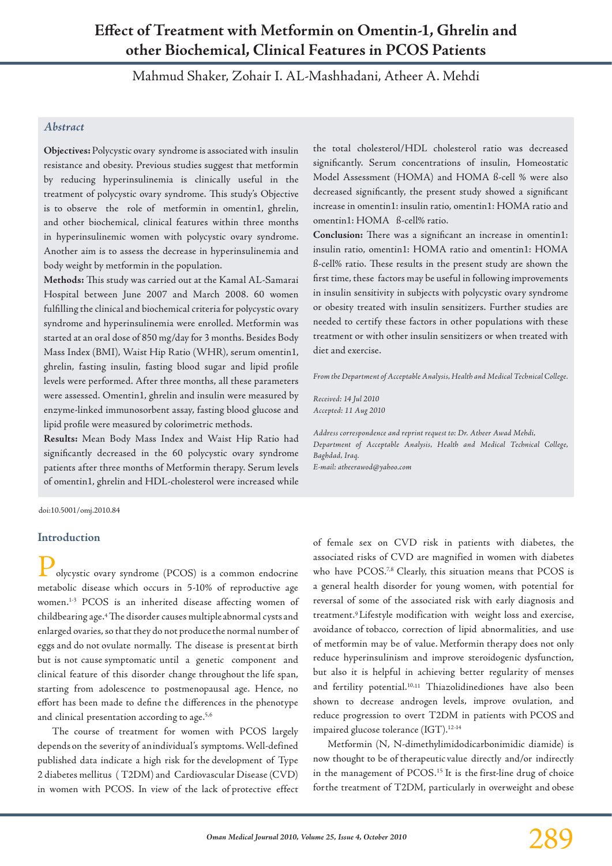# **Effect of Treatment with Metformin on Omentin-1, Ghrelin and other Biochemical, Clinical Features in PCOS Patients**

Mahmud Shaker, Zohair I. AL-Mashhadani, Atheer A. Mehdi

## *Abstract*

**Objectives:** Polycystic ovary syndrome is associated with insulin resistance and obesity. Previous studies suggest that metformin by reducing hyperinsulinemia is clinically useful in the treatment of polycystic ovary syndrome. This study's Objective is to observe the role of metformin in omentin1, ghrelin, and other biochemical, clinical features within three months in hyperinsulinemic women with polycystic ovary syndrome. Another aim is to assess the decrease in hyperinsulinemia and body weight by metformin in the population.

**Methods:** This study was carried out at the Kamal AL-Samarai Hospital between June 2007 and March 2008. 60 women fulfilling the clinical and biochemical criteria for polycystic ovary syndrome and hyperinsulinemia were enrolled. Metformin was started at an oral dose of 850 mg/day for 3 months. Besides Body Mass Index (BMI), Waist Hip Ratio (WHR), serum omentin1, ghrelin, fasting insulin, fasting blood sugar and lipid profile levels were performed. After three months, all these parameters were assessed. Omentin1, ghrelin and insulin were measured by enzyme-linked immunosorbent assay, fasting blood glucose and lipid profile were measured by colorimetric methods.

**Results:** Mean Body Mass Index and Waist Hip Ratio had significantly decreased in the 60 polycystic ovary syndrome patients after three months of Metformin therapy. Serum levels of omentin1, ghrelin and HDL-cholesterol were increased while

the total cholesterol/HDL cholesterol ratio was decreased significantly. Serum concentrations of insulin, Homeostatic Model Assessment (HOMA) and HOMA ß-cell % were also decreased significantly, the present study showed a significant increase in omentin1: insulin ratio, omentin1: HOMA ratio and omentin1: HOMA ß-cell% ratio.

**Conclusion:** There was a significant an increase in omentin1: insulin ratio, omentin1: HOMA ratio and omentin1: HOMA ß-cell% ratio. These results in the present study are shown the first time, these factors may be useful in following improvements in insulin sensitivity in subjects with polycystic ovary syndrome or obesity treated with insulin sensitizers. Further studies are needed to certify these factors in other populations with these treatment or with other insulin sensitizers or when treated with diet and exercise.

*From the Department of Acceptable Analysis, Health and Medical Technical College.*

*Received: 14 Jul 2010 Accepted: 11 Aug 2010*

*Address correspondence and reprint request to: Dr. Atheer Awad Mehdi, Department of Acceptable Analysis, Health and Medical Technical College, Baghdad, Iraq.*

*E-mail: atheerawod@yahoo.com*

doi:10.5001/omj.2010.84

#### **Introduction**

olycystic ovary syndrome (PCOS) is a common endocrine metabolic disease which occurs in 5-10% of reproductive age women.1-3 PCOS is an inherited disease affecting women of childbearing age.4 The disorder causes multiple abnormal cysts and enlarged ovaries, so that they do not produce the normal number of eggs and do not ovulate normally. The disease is present at birth but is not cause symptomatic until a genetic component and clinical feature of this disorder change throughout the life span, starting from adolescence to postmenopausal age. Hence, no effort has been made to define the differences in the phenotype and clinical presentation according to age.<sup>5,6</sup>

The course of treatment for women with PCOS largely depends on the severity of an individual's symptoms. Well-defined published data indicate a high risk for the development of Type 2 diabetes mellitus ( T2DM) and Cardiovascular Disease (CVD) in women with PCOS. In view of the lack of protective effect of female sex on CVD risk in patients with diabetes, the associated risks of CVD are magnified in women with diabetes who have PCOS.<sup>7,8</sup> Clearly, this situation means that PCOS is a general health disorder for young women, with potential for reversal of some of the associated risk with early diagnosis and treatment.9 Lifestyle modification with weight loss and exercise, avoidance of tobacco, correction of lipid abnormalities, and use of metformin may be of value. Metformin therapy does not only reduce hyperinsulinism and improve steroidogenic dysfunction, but also it is helpful in achieving better regularity of menses and fertility potential.10,11 Thiazolidinediones have also been shown to decrease androgen levels, improve ovulation, and reduce progression to overt T2DM in patients with PCOS and impaired glucose tolerance (IGT).12-14

Metformin (N, N-dimethylimidodicarbonimidic diamide) is now thought to be of therapeutic value directly and/or indirectly in the management of PCOS.15 It is the first-line drug of choice for the treatment of T2DM, particularly in overweight and obese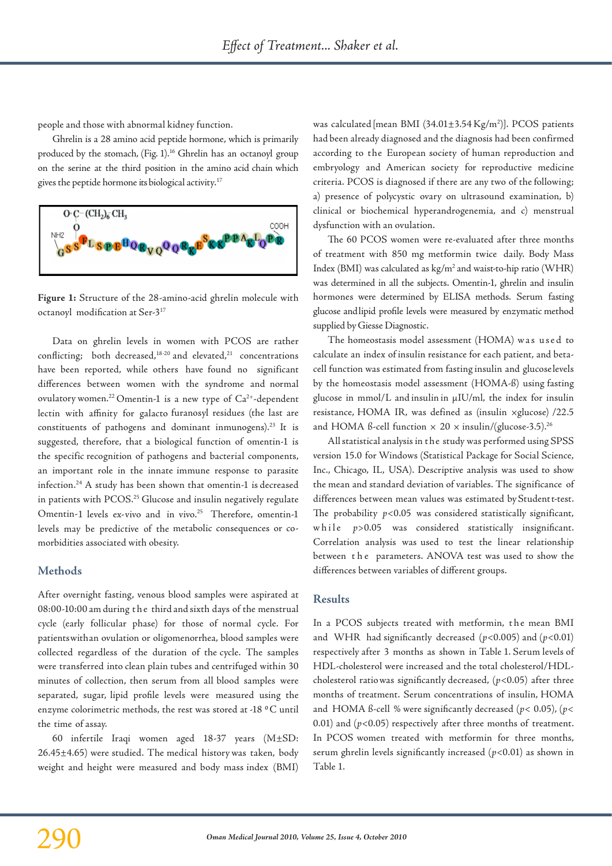people and those with abnormal kidney function.

Ghrelin is a 28 amino acid peptide hormone, which is primarily produced by the stomach, (Fig. 1).<sup>16</sup> Ghrelin has an octanoyl group on the serine at the third position in the amino acid chain which gives the peptide hormone its biological activity.17



**Figure 1:** Structure of the 28-amino-acid ghrelin molecule with octanoyl modification at Ser-317

Data on ghrelin levels in women with PCOS are rather conflicting; both decreased, $18-20$  and elevated, $21$  concentrations have been reported, while others have found no significant differences between women with the syndrome and normal ovulatory women.<sup>22</sup> Omentin-1 is a new type of Ca<sup>2+</sup>-dependent lectin with affinity for galacto furanosyl residues (the last are constituents of pathogens and dominant inmunogens).23 It is suggested, therefore, that a biological function of omentin-1 is the specific recognition of pathogens and bacterial components, an important role in the innate immune response to parasite infection.24 A study has been shown that omentin-1 is decreased in patients with PCOS.<sup>25</sup> Glucose and insulin negatively regulate Omentin-1 levels ex-vivo and in vivo.<sup>25</sup> Therefore, omentin-1 levels may be predictive of the metabolic consequences or comorbidities associated with obesity.

## **Methods**

After overnight fasting, venous blood samples were aspirated at 08:00-10:00 am during t h e third and sixth days of the menstrual cycle (early follicular phase) for those of normal cycle. For patients with an ovulation or oligomenorrhea, blood samples were collected regardless of the duration of the cycle. The samples were transferred into clean plain tubes and centrifuged within 30 minutes of collection, then serum from all blood samples were separated, sugar, lipid profile levels were measured using the enzyme colorimetric methods, the rest was stored at -18 °C until the time of assay.

60 infertile Iraqi women aged 18-37 years (M±SD: 26.45±4.65) were studied. The medical history was taken, body weight and height were measured and body mass index (BMI)

was calculated [mean BMI  $(34.01 \pm 3.54 \text{ kg/m}^2)$ ]. PCOS patients had been already diagnosed and the diagnosis had been confirmed according to the European society of human reproduction and embryology and American society for reproductive medicine criteria. PCOS is diagnosed if there are any two of the following; a) presence of polycystic ovary on ultrasound examination, b) clinical or biochemical hyperandrogenemia, and c) menstrual dysfunction with an ovulation.

The 60 PCOS women were re-evaluated after three months of treatment with 850 mg metformin twice daily. Body Mass Index (BMI) was calculated as kg/m<sup>2</sup> and waist-to-hip ratio (WHR) was determined in all the subjects. Omentin-1, ghrelin and insulin hormones were determined by ELISA methods. Serum fasting glucose and lipid profile levels were measured by enzymatic method supplied by Giesse Diagnostic.

The homeostasis model assessment (HOMA) was used to calculate an index of insulin resistance for each patient, and betacell function was estimated from fasting insulin and glucose levels by the homeostasis model assessment (HOMA-ß) using fasting glucose in mmol/L and insulin in µIU/ml, the index for insulin resistance, HOMA IR, was defined as (insulin ×glucose) /22.5 and HOMA ß-cell function  $\times$  20  $\times$  insulin/(glucose-3.5).<sup>26</sup>

All statistical analysis in t he study was performed using SPSS version 15.0 for Windows (Statistical Package for Social Science, Inc., Chicago, IL, USA). Descriptive analysis was used to show the mean and standard deviation of variables. The significance of differences between mean values was estimated by Student t-test. The probability  $p < 0.05$  was considered statistically significant, while  $p > 0.05$  was considered statistically insignificant. Correlation analysis was used to test the linear relationship between the parameters. ANOVA test was used to show the differences between variables of different groups.

## **Results**

In a PCOS subjects treated with metformin, the mean BMI and WHR had significantly decreased  $(p<0.005)$  and  $(p<0.01)$ respectively after 3 months as shown in Table 1. Serum levels of HDL-cholesterol were increased and the total cholesterol/HDLcholesterol ratio was significantly decreased, (*p*<0.05) after three months of treatment. Serum concentrations of insulin, HOMA and HOMA ß-cell % were significantly decreased (*p*< 0.05), (*p*< 0.01) and  $(p<0.05)$  respectively after three months of treatment. In PCOS women treated with metformin for three months, serum ghrelin levels significantly increased (*p*<0.01) as shown in Table 1.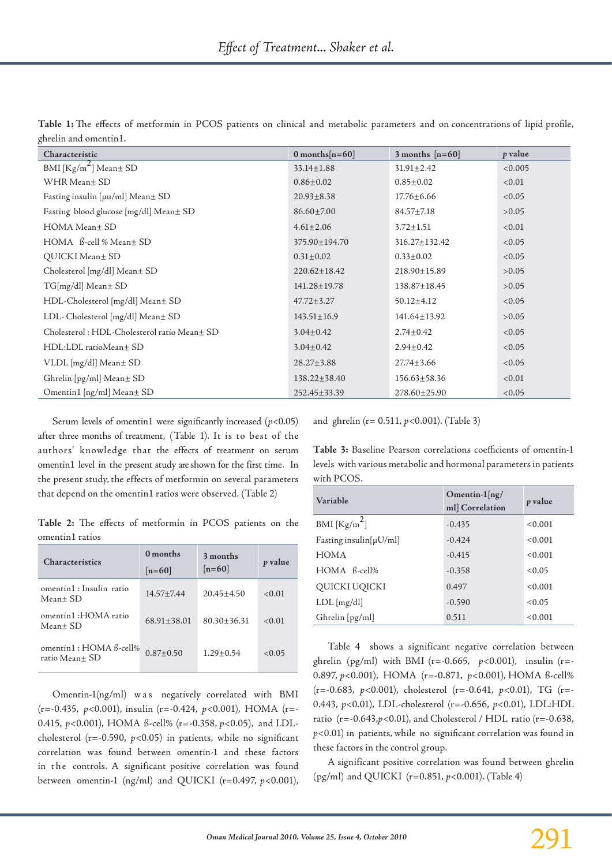| Characteristic                              | $0$ months $[n=60]$ | 3 months $[n=60]$ | p value |
|---------------------------------------------|---------------------|-------------------|---------|
| BMI $[Kg/m^2]$ Mean ± SD                    | $33.14 \pm 1.88$    | $31.91 \pm 2.42$  | < 0.005 |
| WHR Mean± SD                                | $0.86 \pm 0.02$     | $0.85 \pm 0.02$   | < 0.01  |
| Fasting insulin [µu/ml] Mean± SD            | $20.93 \pm 8.38$    | $17.76 \pm 6.66$  | < 0.05  |
| Fasting blood glucose [mg/dl] Mean± SD      | $86.60 \pm 7.00$    | $84.57 \pm 7.18$  | >0.05   |
| HOMA Mean± SD                               | $4.61 \pm 2.06$     | $3.72 \pm 1.51$   | < 0.01  |
| $HOMA$ $\beta$ -cell % Mean $\pm$ SD        | 375.90±194.70       | 316.27±132.42     | < 0.05  |
| QUICKI Mean± SD                             | $0.31 \pm 0.02$     | $0.33 \pm 0.02$   | < 0.05  |
| Cholesterol [mg/dl] Mean± SD                | $220.62 \pm 18.42$  | 218.90±15.89      | >0.05   |
| TG[mg/dl] Mean± SD                          | 141.28±19.78        | 138.87±18.45      | >0.05   |
| HDL-Cholesterol [mg/dl] Mean± SD            | $47.72 \pm 3.27$    | $50.12 \pm 4.12$  | < 0.05  |
| LDL- Cholesterol [mg/dl] Mean± SD           | $143.51 \pm 16.9$   | 141.64±13.92      | >0.05   |
| Cholesterol: HDL-Cholesterol ratio Mean± SD | $3.04 \pm 0.42$     | $2.74 \pm 0.42$   | < 0.05  |
| HDL:LDL ratioMean± SD                       | $3.04 \pm 0.42$     | $2.94 \pm 0.42$   | < 0.05  |
| VLDL [mg/dl] Mean± SD                       | $28.27 \pm 3.88$    | $27.74 \pm 3.66$  | < 0.05  |
| Ghrelin [pg/ml] Mean± SD                    | 138.22±38.40        | 156.63±58.36      | < 0.01  |
| Omentin1 [ng/ml] Mean± SD                   | $252.45 \pm 33.39$  | 278.60±25.90      | < 0.05  |

**Table 1:** The effects of metformin in PCOS patients on clinical and metabolic parameters and on concentrations of lipid profile, ghrelin and omentin1.

Serum levels of omentin1 were significantly increased (*p*<0.05) after three months of treatment, (Table 1). It is to best of the authors' knowledge that the effects of treatment on serum omentin1 level in the present study are shown for the first time. In the present study, the effects of metformin on several parameters that depend on the omentin1 ratios were observed. (Table 2)

**Table 2:** The effects of metformin in PCOS patients on the omentin1 ratios

| <b>Characteristics</b>                   | 0 months<br>$[n=60]$ | 3 months<br>$[n=60]$ | <i>p</i> value |
|------------------------------------------|----------------------|----------------------|----------------|
| omentin1 : Insulin ratio<br>Mean+ SD     | $14.57 + 7.44$       | $20.45 + 4.50$       | < 0.01         |
| omentin1 :HOMA ratio<br>Mean+ SD         | $68.91 + 38.01$      | $80.30 + 36.31$      | < 0.01         |
| omentin1: HOMA B-cell%<br>ratio Mean± SD | $0.87 + 0.50$        | $1.29 + 0.54$        | < 0.05         |

Omentin-1(ng/ml) was negatively correlated with BMI (r=-0.435, *p*<0.001), insulin (r=-0.424, *p*<0.001), HOMA (r=- 0.415, *p*<0.001), HOMA ß-cell% (r=-0.358, *p*<0.05), and LDLcholesterol (r=-0.590, *p*<0.05) in patients, while no significant correlation was found between omentin-1 and these factors in the controls. A significant positive correlation was found between omentin-1 (ng/ml) and QUICKI (r=0.497, *p*<0.001), and ghrelin (r= 0.511, *p*<0.001). (Table 3)

**Table 3:** Baseline Pearson correlations coefficients of omentin-1 levels with various metabolic and hormonal parameters in patients with PCOS.

| Variable                                                         | Omentin- $1$ [ng/<br>ml] Correlation | p value |
|------------------------------------------------------------------|--------------------------------------|---------|
| BMI $\left[\frac{\text{Kg/m}^2}{\text{m} \cdot \text{s}}\right]$ | $-0.435$                             | < 0.001 |
| Fasting insulin $[\mu U/ml]$                                     | $-0.424$                             | < 0.001 |
| <b>HOMA</b>                                                      | $-0.415$                             | < 0.001 |
| $HOMA$ $B$ -cell%                                                | $-0.358$                             | < 0.05  |
| QUICKI UQICKI                                                    | 0.497                                | < 0.001 |
| $LDL$ [mg/dl]                                                    | $-0.590$                             | < 0.05  |
| Ghrelin [pg/ml]                                                  | 0.511                                | < 0.001 |

Table 4 shows a significant negative correlation between ghrelin (pg/ml) with BMI (r=-0.665, *p*<0.001), insulin (r=- 0.897, *p*<0.001), HOMA (r=-0.871, *p*<0.001), HOMA ß-cell% (r=-0.683, *p*<0.001), cholesterol (r=-0.641, *p*<0.01), TG (r=- 0.443, *p*<0.01), LDL-cholesterol (r=-0.656, *p*<0.01), LDL:HDL ratio (r=-0.643,*p*<0.01), and Cholesterol / HDL ratio (r=-0.638, *p*<0.01) in patients, while no significant correlation was found in these factors in the control group.

A significant positive correlation was found between ghrelin (pg/ml) and QUICKI (r=0.851, *p*<0.001). (Table 4)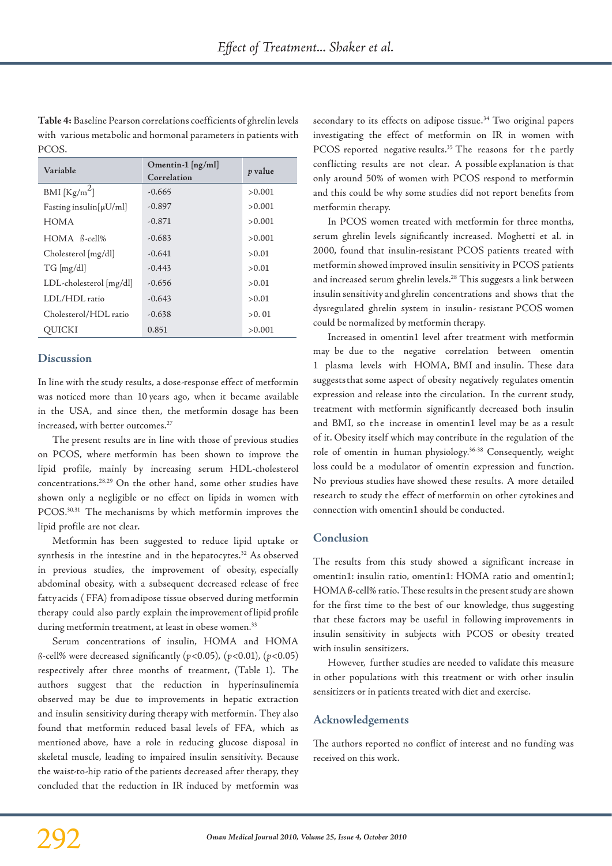**Table 4:** Baseline Pearson correlations coefficients of ghrelin levels with various metabolic and hormonal parameters in patients with PCOS.

| Variable                     | Omentin- $1 \left[ \frac{ng}{ml} \right]$<br>Correlation | p value |
|------------------------------|----------------------------------------------------------|---------|
| BMI $[Kg/m^2]$               | $-0.665$                                                 | > 0.001 |
| Fasting insulin $[\mu U/ml]$ | $-0.897$                                                 | > 0.001 |
| HOMA                         | $-0.871$                                                 | > 0.001 |
| $HOMA$ $\beta$ -cell%        | $-0.683$                                                 | > 0.001 |
| Cholesterol [mg/dl]          | $-0.641$                                                 | > 0.01  |
| TG [mg/dl]                   | $-0.443$                                                 | > 0.01  |
| LDL-cholesterol [mg/dl]      | $-0.656$                                                 | > 0.01  |
| LDL/HDL ratio                | $-0.643$                                                 | >0.01   |
| Cholesterol/HDL ratio        | $-0.638$                                                 | >0.01   |
| OUICKI                       | 0.851                                                    | >0.001  |

## **Discussion**

In line with the study results, a dose-response effect of metformin was noticed more than 10 years ago, when it became available in the USA, and since then, the metformin dosage has been increased, with better outcomes.<sup>27</sup>

The present results are in line with those of previous studies on PCOS, where metformin has been shown to improve the lipid profile, mainly by increasing serum HDL-cholesterol concentrations.28,29 On the other hand, some other studies have shown only a negligible or no effect on lipids in women with PCOS.<sup>30,31</sup> The mechanisms by which metformin improves the lipid profile are not clear.

Metformin has been suggested to reduce lipid uptake or synthesis in the intestine and in the hepatocytes.<sup>32</sup> As observed in previous studies, the improvement of obesity, especially abdominal obesity, with a subsequent decreased release of free fatty acids ( FFA) from adipose tissue observed during metformin therapy could also partly explain the improvement of lipid profile during metformin treatment, at least in obese women.<sup>33</sup>

Serum concentrations of insulin, HOMA and HOMA ß-cell% were decreased significantly (*p*<0.05), (*p*<0.01), (*p*<0.05) respectively after three months of treatment, (Table 1). The authors suggest that the reduction in hyperinsulinemia observed may be due to improvements in hepatic extraction and insulin sensitivity during therapy with metformin. They also found that metformin reduced basal levels of FFA, which as mentioned above, have a role in reducing glucose disposal in skeletal muscle, leading to impaired insulin sensitivity. Because the waist-to-hip ratio of the patients decreased after therapy, they concluded that the reduction in IR induced by metformin was secondary to its effects on adipose tissue.<sup>34</sup> Two original papers investigating the effect of metformin on IR in women with PCOS reported negative results.<sup>35</sup> The reasons for the partly conflicting results are not clear. A possible explanation is that only around 50% of women with PCOS respond to metformin and this could be why some studies did not report benefits from metformin therapy.

In PCOS women treated with metformin for three months, serum ghrelin levels significantly increased. Moghetti et al. in 2000, found that insulin-resistant PCOS patients treated with metformin showed improved insulin sensitivity in PCOS patients and increased serum ghrelin levels.28 This suggests a link between insulin sensitivity and ghrelin concentrations and shows that the dysregulated ghrelin system in insulin- resistant PCOS women could be normalized by metformin therapy.

Increased in omentin1 level after treatment with metformin may be due to the negative correlation between omentin 1 plasma levels with HOMA, BMI and insulin. These data suggests that some aspect of obesity negatively regulates omentin expression and release into the circulation. In the current study, treatment with metformin significantly decreased both insulin and BMI, so the increase in omentin1 level may be as a result of it. Obesity itself which may contribute in the regulation of the role of omentin in human physiology.<sup>36-38</sup> Consequently, weight loss could be a modulator of omentin expression and function. No previous studies have showed these results. A more detailed research to study the effect of metformin on other cytokines and connection with omentin1 should be conducted.

### **Conclusion**

The results from this study showed a significant increase in omentin1: insulin ratio, omentin1: HOMA ratio and omentin1; HOMA ß-cell% ratio. These results in the present study are shown for the first time to the best of our knowledge, thus suggesting that these factors may be useful in following improvements in insulin sensitivity in subjects with PCOS or obesity treated with insulin sensitizers.

However, further studies are needed to validate this measure in other populations with this treatment or with other insulin sensitizers or in patients treated with diet and exercise.

## **Acknowledgements**

The authors reported no conflict of interest and no funding was received on this work.